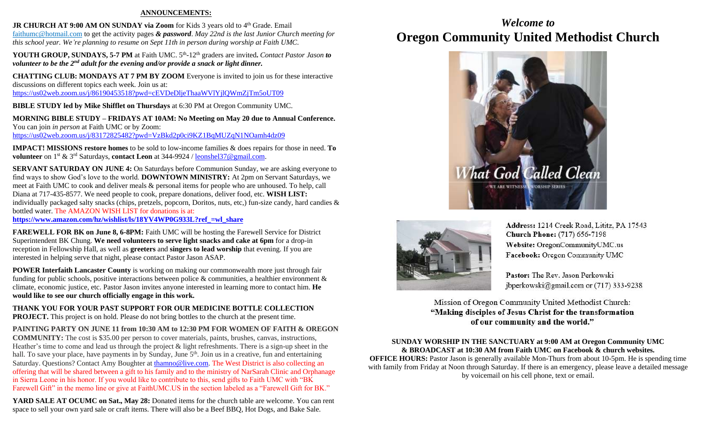#### **ANNOUNCEMENTS:**

**JR CHURCH AT 9:00 AM ON SUNDAY via Zoom** for Kids 3 years old to 4<sup>th</sup> Grade. Email [faithumc@hotmail.com](about:blank) to get the activity pages *& password*. *May 22nd is the last Junior Church meeting for this school year. We're planning to resume on Sept 11th in person during worship at Faith UMC.*

YOUTH GROUP, SUNDAYS, 5-7 PM at Faith UMC. 5<sup>th</sup>-12<sup>th</sup> graders are invited. *Contact Pastor Jason to volunteer to be the 2nd adult for the evening and/or provide a snack or light dinner.* 

**CHATTING CLUB: MONDAYS AT 7 PM BY ZOOM** Everyone is invited to join us for these interactive discussions on different topics each week. Join us at: <https://us02web.zoom.us/j/86190453518?pwd=cEVDeDljeThaaWVlYjlQWmZjTm5oUT09>

**BIBLE STUDY led by Mike Shifflet on Thursdays** at 6:30 PM at Oregon Community UMC.

**MORNING BIBLE STUDY – FRIDAYS AT 10AM: No Meeting on May 20 due to Annual Conference.**  You can join *in person* at Faith UMC or by Zoom: <https://us02web.zoom.us/j/83172825482?pwd=VzBkd2p0ci9KZ1BqMUZqN1NOamh4dz09>

**IMPACT! MISSIONS restore homes** to be sold to low-income families & does repairs for those in need. **To volunteer** on 1st & 3rd Saturdays, **contact Leon** at 344-9924 / [leonshel37@gmail.com.](about:blank)

**SERVANT SATURDAY ON JUNE 4:** On Saturdays before Communion Sunday, we are asking everyone to find ways to show God's love to the world. **DOWNTOWN MINISTRY:** At 2pm on Servant Saturdays, we meet at Faith UMC to cook and deliver meals & personal items for people who are unhoused. To help, call Diana at 717-435-8577. We need people to cook, prepare donations, deliver food, etc. **WISH LIST:**  individually packaged salty snacks (chips, pretzels, popcorn, Doritos, nuts, etc,) fun-size candy, hard candies & bottled water. The AMAZON WISH LIST for donations is at:

**[https://www.amazon.com/hz/wishlist/ls/18YV4WP0G933L?ref\\_=wl\\_share](https://www.amazon.com/hz/wishlist/ls/18YV4WP0G933L?ref_=wl_share)**

**FAREWELL FOR BK on June 8, 6-8PM:** Faith UMC will be hosting the Farewell Service for District Superintendent BK Chung. **We need volunteers to serve light snacks and cake at 6pm** for a drop-in reception in Fellowship Hall, as well as **greeters** and **singers to lead worship** that evening. If you are interested in helping serve that night, please contact Pastor Jason ASAP.

**POWER Interfaith Lancaster County** is working on making our commonwealth more just through fair funding for public schools, positive interactions between police & communities, a healthier environment & climate, economic justice, etc. Pastor Jason invites anyone interested in learning more to contact him. **He would like to see our church officially engage in this work.**

**THANK YOU FOR YOUR PAST SUPPORT FOR OUR MEDICINE BOTTLE COLLECTION PROJECT.** This project is on hold. Please do not bring bottles to the church at the present time.

#### **PAINTING PARTY ON JUNE 11 from 10:30 AM to 12:30 PM FOR WOMEN OF FAITH & OREGON**

**COMMUNITY:** The cost is \$35.00 per person to cover materials, paints, brushes, canvas, instructions, Heather's time to come and lead us through the project & light refreshments. There is a sign-up sheet in the hall. To save your place, have payments in by Sunday, June 5<sup>th</sup>. Join us in a creative, fun and entertaining Saturday. Questions? Contact Amy Boughter a[t thamno@live.com.](mailto:thamno@live.com) The West District is also collecting an offering that will be shared between a gift to his family and to the ministry of NarSarah Clinic and Orphanage in Sierra Leone in his honor. If you would like to contribute to this, send gifts to Faith UMC with "BK Farewell Gift" in the memo line or give at FaithUMC.US in the section labeled as a "Farewell Gift for BK."

**YARD SALE AT OCUMC on Sat., May 28:** Donated items for the church table are welcome. You can rent space to sell your own yard sale or craft items. There will also be a Beef BBQ, Hot Dogs, and Bake Sale.

# *Welcome to* **Oregon Community United Methodist Church**





Address: 1214 Creek Road, Lititz, PA 17543 **Church Phone:** (717) 656-7198 Website: OregonCommunityUMC.us Facebook: Oregon Community UMC

Pastor: The Rev. Jason Perkowski jbperkowski@gmail.com or (717) 333-9238

Mission of Oregon Community United Methodist Church: "Making disciples of Jesus Christ for the transformation of our community and the world."

**SUNDAY WORSHIP IN THE SANCTUARY at 9:00 AM at Oregon Community UMC & BROADCAST at 10:30 AM from Faith UMC on Facebook & church websites. OFFICE HOURS:** Pastor Jason is generally available Mon-Thurs from about 10-5pm. He is spending time with family from Friday at Noon through Saturday. If there is an emergency, please leave a detailed message by voicemail on his cell phone, text or email.